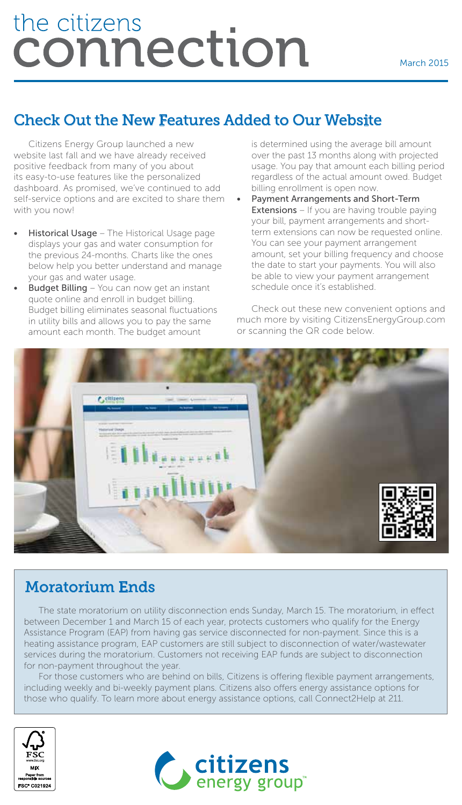# the citizens <u>connection</u>

## Check Out the New Features Added to Our Website

Citizens Energy Group launched a new website last fall and we have already received positive feedback from many of you about its easy-to-use features like the personalized dashboard. As promised, we've continued to add self-service options and are excited to share them with you now!

- Historical Usage The Historical Usage page displays your gas and water consumption for the previous 24-months. Charts like the ones below help you better understand and manage your gas and water usage.
- **Budget Billing** You can now get an instant quote online and enroll in budget billing. Budget billing eliminates seasonal fluctuations in utility bills and allows you to pay the same amount each month. The budget amount

is determined using the average bill amount over the past 13 months along with projected usage. You pay that amount each billing period regardless of the actual amount owed. Budget billing enrollment is open now.

• Payment Arrangements and Short-Term **Extensions** – If you are having trouble paying your bill, payment arrangements and shortterm extensions can now be requested online. You can see your payment arrangement amount, set your billing frequency and choose the date to start your payments. You will also be able to view your payment arrangement schedule once it's established.

Check out these new convenient options and much more by visiting CitizensEnergyGroup.com or scanning the QR code below.



## Moratorium Ends

The state moratorium on utility disconnection ends Sunday, March 15. The moratorium, in effect between December 1 and March 15 of each year, protects customers who qualify for the Energy Assistance Program (EAP) from having gas service disconnected for non-payment. Since this is a heating assistance program, EAP customers are still subject to disconnection of water/wastewater services during the moratorium. Customers not receiving EAP funds are subject to disconnection for non-payment throughout the year.

For those customers who are behind on bills, Citizens is offering flexible payment arrangements, including weekly and bi-weekly payment plans. Citizens also offers energy assistance options for those who qualify. To learn more about energy assistance options, call Connect2Help at 211.